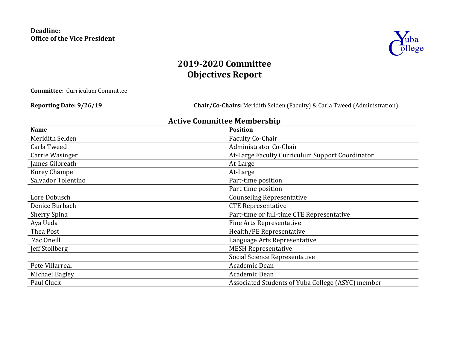

# **2019-2020 Committee Objectives Report**

**Committee:** Curriculum Committee

**Reporting Date: 9/26/19 Chair/Co-Chairs:** Meridith Selden (Faculty) & Carla Tweed (Administration)

## **Active Committee Membership**

| <b>Name</b>         | <b>Position</b>                                   |
|---------------------|---------------------------------------------------|
| Meridith Selden     | <b>Faculty Co-Chair</b>                           |
| Carla Tweed         | Administrator Co-Chair                            |
| Carrie Wasinger     | At-Large Faculty Curriculum Support Coordinator   |
| James Gilbreath     | At-Large                                          |
| <b>Korey Champe</b> | At-Large                                          |
| Salvador Tolentino  | Part-time position                                |
|                     | Part-time position                                |
| Lore Dobusch        | <b>Counseling Representative</b>                  |
| Denice Burbach      | <b>CTE Representative</b>                         |
| <b>Sherry Spina</b> | Part-time or full-time CTE Representative         |
| Aya Ueda            | <b>Fine Arts Representative</b>                   |
| Thea Post           | Health/PE Representative                          |
| Zac Oneill          | Language Arts Representative                      |
| Jeff Stollberg      | <b>MESH Representative</b>                        |
|                     | Social Science Representative                     |
| Pete Villarreal     | Academic Dean                                     |
| Michael Bagley      | Academic Dean                                     |
| Paul Cluck          | Associated Students of Yuba College (ASYC) member |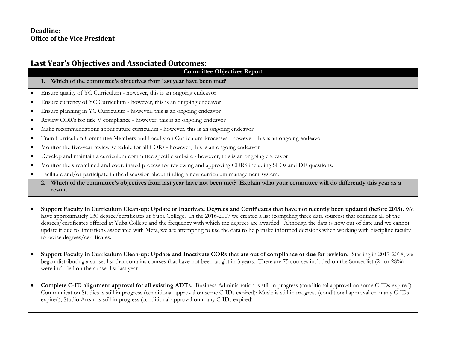### Last Year's Objectives and Associated Outcomes:

- **1. Which of the committee's objectives from last year have been met?**
- Ensure quality of YC Curriculum however, this is an ongoing endeavor
- Ensure currency of YC Curriculum however, this is an ongoing endeavor
- Ensure planning in YC Curriculum however, this is an ongoing endeavor
- Review COR's for title V compliance however, this is an ongoing endeavor
- Make recommendations about future curriculum however, this is an ongoing endeavor
- Train Curriculum Committee Members and Faculty on Curriculum Processes however, this is an ongoing endeavor
- Monitor the five-year review schedule for all CORs however, this is an ongoing endeavor
- Develop and maintain a curriculum committee specific website however, this is an ongoing endeavor
- Monitor the streamlined and coordinated process for reviewing and approving CORS including SLOs and DE questions.
- Facilitate and/or participate in the discussion about finding a new curriculum management system.
	- **2. Which of the committee's objectives from last year have not been met? Explain what your committee will do differently this year as a result.**
- **Support Faculty in Curriculum Clean-up: Update or Inactivate Degrees and Certificates that have not recently been updated (before 2013).** We have approximately 130 degree/certificates at Yuba College. In the 2016-2017 we created a list (compiling three data sources) that contains all of the degrees/certificates offered at Yuba College and the frequency with which the degrees are awarded. Although the data is now out of date and we cannot update it due to limitations associated with Meta, we are attempting to use the data to help make informed decisions when working with discipline faculty to revise degrees/certificates.
- **Support Faculty in Curriculum Clean-up: Update and Inactivate CORs that are out of compliance or due for revision.** Starting in 2017-2018, we began distributing a sunset list that contains courses that have not been taught in 3 years. There are 75 courses included on the Sunset list (21 or 28%) were included on the sunset list last year.
- **Complete C-ID alignment approval for all existing ADTs.** Business Administration is still in progress (conditional approval on some C-IDs expired); Communication Studies is still in progress (conditional approval on some C-IDs expired); Music is still in progress (conditional approval on many C-IDs expired); Studio Arts n is still in progress (conditional approval on many C-IDs expired)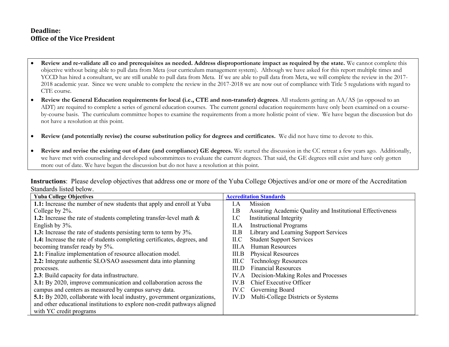- **Review and re-validate all co and prerequisites as needed. Address disproportionate impact as required by the state.** We cannot complete this objective without being able to pull data from Meta (our curriculum management system). Although we have asked for this report multiple times and YCCD has hired a consultant, we are still unable to pull data from Meta. If we are able to pull data from Meta, we will complete the review in the 2017- 2018 academic year. Since we were unable to complete the review in the 2017-2018 we are now out of compliance with Title 5 regulations with regard to CTE course.
- **Review the General Education requirements for local (i.e., CTE and non-transfer) degrees**. All students getting an AA/AS (as opposed to an ADT) are required to complete a series of general education courses. The current general education requirements have only been examined on a courseby-course basis. The curriculum committee hopes to examine the requirements from a more holistic point of view. We have begun the discussion but do not have a resolution at this point.
- **Review (and potentially revise) the course substitution policy for degrees and certificates.** We did not have time to devote to this.
- **Review and revise the existing out of date (and compliance) GE degrees.** We started the discussion in the CC retreat a few years ago. Additionally, we have met with counseling and developed subcommittees to evaluate the current degrees. That said, the GE degrees still exist and have only gotten more out of date. We have begun the discussion but do not have a resolution at this point.

**Instructions**: Please develop objectives that address one or more of the Yuba College Objectives and/or one or more of the Accreditation Standards listed below.

| <b>Yuba College Objectives</b>                                            | <b>Accreditation Standards</b>                                   |
|---------------------------------------------------------------------------|------------------------------------------------------------------|
| 1.1: Increase the number of new students that apply and enroll at Yuba    | Mission<br>I.A                                                   |
| College by 2%.                                                            | Assuring Academic Quality and Institutional Effectiveness<br>I.B |
| 1.2: Increase the rate of students completing transfer-level math $\&$    | <b>Institutional Integrity</b><br>I.C                            |
| English by 3%.                                                            | <b>Instructional Programs</b><br>II.A                            |
| <b>1.3:</b> Increase the rate of students persisting term to term by 3%.  | Library and Learning Support Services<br>II.B                    |
| 1.4: Increase the rate of students completing certificates, degrees, and  | <b>Student Support Services</b><br>ILC                           |
| becoming transfer ready by 5%.                                            | Human Resources<br>III.A                                         |
| 2.1: Finalize implementation of resource allocation model.                | <b>Physical Resources</b><br>III.B                               |
| 2.2: Integrate authentic SLO/SAO assessment data into planning            | <b>Technology Resources</b><br>III.C                             |
| processes.                                                                | <b>Financial Resources</b><br>III.D                              |
| 2.3: Build capacity for data infrastructure.                              | Decision-Making Roles and Processes<br>IV.A                      |
| 3.1: By 2020, improve communication and collaboration across the          | Chief Executive Officer<br>IV.B                                  |
| campus and centers as measured by campus survey data.                     | Governing Board<br>IV.C                                          |
| 5.1: By 2020, collaborate with local industry, government organizations,  | Multi-College Districts or Systems<br>IV.D                       |
| and other educational institutions to explore non-credit pathways aligned |                                                                  |
| with YC credit programs                                                   |                                                                  |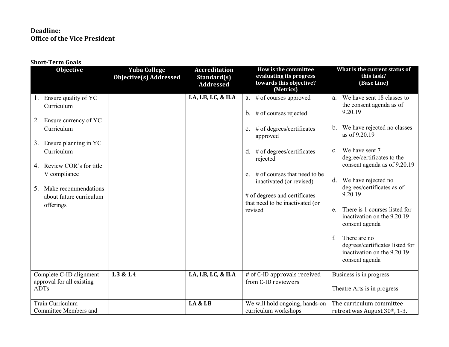#### **Short-Term Goals**

| <b>Objective</b>                         | <b>Yuba College</b><br><b>Objective(s) Addressed</b> | <b>Accreditation</b><br>Standard(s) | How is the committee<br>evaluating its progress                  | What is the current status of<br>this task?                                                            |
|------------------------------------------|------------------------------------------------------|-------------------------------------|------------------------------------------------------------------|--------------------------------------------------------------------------------------------------------|
|                                          |                                                      | <b>Addressed</b>                    | towards this objective?<br>(Metrics)                             | (Base Line)                                                                                            |
| 1. Ensure quality of YC                  |                                                      | I.A, I.B, I.C, & II.A               | a. $#$ of courses approved                                       | a. We have sent 18 classes to                                                                          |
| Curriculum                               |                                                      |                                     | b. $#$ of courses rejected                                       | the consent agenda as of<br>9.20.19                                                                    |
| Ensure currency of YC<br>2.              |                                                      |                                     |                                                                  |                                                                                                        |
| Curriculum                               |                                                      |                                     | c. $#$ of degrees/certificates<br>approved                       | b. We have rejected no classes<br>as of 9.20.19                                                        |
| Ensure planning in YC<br>3.              |                                                      |                                     |                                                                  |                                                                                                        |
| Curriculum                               |                                                      |                                     | $d.$ # of degrees/certificates<br>rejected                       | We have sent 7<br>$\mathbf{c}$ .<br>degree/certificates to the                                         |
| 4. Review COR's for title                |                                                      |                                     |                                                                  | consent agenda as of 9.20.19                                                                           |
| V compliance                             |                                                      |                                     | e. # of courses that need to be<br>inactivated (or revised)      | We have rejected no<br>d.                                                                              |
| Make recommendations<br>5.               |                                                      |                                     |                                                                  | degrees/certificates as of                                                                             |
| about future curriculum                  |                                                      |                                     | # of degrees and certificates<br>that need to be inactivated (or | 9.20.19                                                                                                |
| offerings                                |                                                      |                                     | revised                                                          | There is 1 courses listed for<br>e.<br>inactivation on the 9.20.19<br>consent agenda                   |
|                                          |                                                      |                                     |                                                                  | f.<br>There are no<br>degrees/certificates listed for<br>inactivation on the 9.20.19<br>consent agenda |
| Complete C-ID alignment                  | 1.3 & 1.4                                            | I.A, I.B, I.C, & II.A               | # of C-ID approvals received                                     | Business is in progress                                                                                |
| approval for all existing<br><b>ADTs</b> |                                                      |                                     | from C-ID reviewers                                              | Theatre Arts is in progress                                                                            |
| Train Curriculum                         |                                                      | <b>I.A &amp; I.B</b>                | We will hold ongoing, hands-on                                   | The curriculum committee                                                                               |
| <b>Committee Members and</b>             |                                                      |                                     | curriculum workshops                                             | retreat was August 30th, 1-3.                                                                          |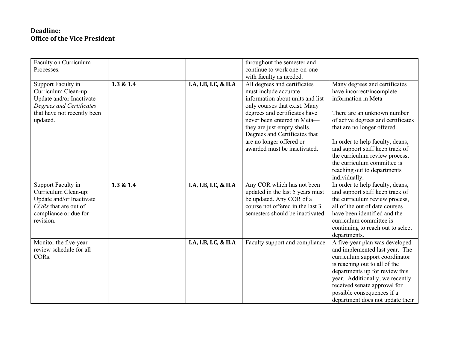| Faculty on Curriculum<br>Processes.                                                                                                           |           |                       | throughout the semester and<br>continue to work one-on-one                                                                                                                                                                                                                                                                                        |                                                                                                                                                                                                                                                                                                                                                                               |
|-----------------------------------------------------------------------------------------------------------------------------------------------|-----------|-----------------------|---------------------------------------------------------------------------------------------------------------------------------------------------------------------------------------------------------------------------------------------------------------------------------------------------------------------------------------------------|-------------------------------------------------------------------------------------------------------------------------------------------------------------------------------------------------------------------------------------------------------------------------------------------------------------------------------------------------------------------------------|
| Support Faculty in<br>Curriculum Clean-up:<br>Update and/or Inactivate<br>Degrees and Certificates<br>that have not recently been<br>updated. | 1.3 & 1.4 | I.A, I.B, I.C, & II.A | with faculty as needed.<br>All degrees and certificates<br>must include accurate<br>information about units and list<br>only courses that exist. Many<br>degrees and certificates have<br>never been entered in Meta-<br>they are just empty shells.<br>Degrees and Certificates that<br>are no longer offered or<br>awarded must be inactivated. | Many degrees and certificates<br>have incorrect/incomplete<br>information in Meta<br>There are an unknown number<br>of active degrees and certificates<br>that are no longer offered.<br>In order to help faculty, deans,<br>and support staff keep track of<br>the curriculum review process,<br>the curriculum committee is<br>reaching out to departments<br>individually. |
| Support Faculty in<br>Curriculum Clean-up:<br>Update and/or Inactivate<br>CORs that are out of<br>compliance or due for<br>revision.          | 1.3 & 1.4 | I.A, I.B, I.C, & II.A | Any COR which has not been<br>updated in the last 5 years must<br>be updated. Any COR of a<br>course not offered in the last 3<br>semesters should be inactivated.                                                                                                                                                                                | In order to help faculty, deans,<br>and support staff keep track of<br>the curriculum review process,<br>all of the out of date courses<br>have been identified and the<br>curriculum committee is<br>continuing to reach out to select<br>departments.                                                                                                                       |
| Monitor the five-year<br>review schedule for all<br>CORs.                                                                                     |           | I.A, I.B, I.C, & II.A | Faculty support and compliance                                                                                                                                                                                                                                                                                                                    | A five-year plan was developed<br>and implemented last year. The<br>curriculum support coordinator<br>is reaching out to all of the<br>departments up for review this<br>year. Additionally, we recently<br>received senate approval for<br>possible consequences if a<br>department does not update their                                                                    |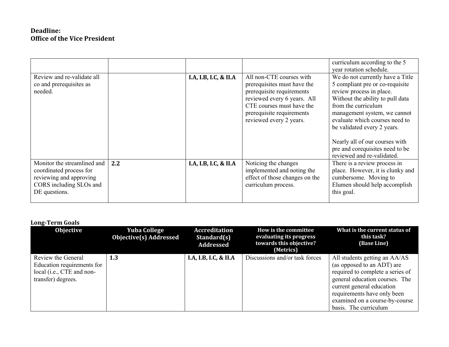|                                                                                                                               |     |                       |                                                                                                                                                                                                          | curriculum according to the 5<br>year rotation schedule.                                                                                                                                                                                                                                                                                                       |
|-------------------------------------------------------------------------------------------------------------------------------|-----|-----------------------|----------------------------------------------------------------------------------------------------------------------------------------------------------------------------------------------------------|----------------------------------------------------------------------------------------------------------------------------------------------------------------------------------------------------------------------------------------------------------------------------------------------------------------------------------------------------------------|
| Review and re-validate all<br>co and prerequisites as<br>needed.                                                              |     | I.A, I.B, I.C, & II.A | All non-CTE courses with<br>prerequisites must have the<br>prerequisite requirements<br>reviewed every 6 years. All<br>CTE courses must have the<br>prerequisite requirements<br>reviewed every 2 years. | We do not currently have a Title<br>5 compliant pre or co-requisite<br>review process in place.<br>Without the ability to pull data<br>from the curriculum<br>management system, we cannot<br>evaluate which courses need to<br>be validated every 2 years.<br>Nearly all of our courses with<br>pre and corequisites need to be<br>reviewed and re-validated. |
| Monitor the streamlined and<br>coordinated process for<br>reviewing and approving<br>CORS including SLOs and<br>DE questions. | 2.2 | I.A, I.B, I.C, & II.A | Noticing the changes<br>implemented and noting the<br>effect of those changes on the<br>curriculum process.                                                                                              | There is a review process in<br>place. However, it is clunky and<br>cumbersome. Moving to<br>Elumen should help accomplish<br>this goal.                                                                                                                                                                                                                       |

|  | <b>Long-Term Goals</b> |  |
|--|------------------------|--|
|  |                        |  |

| <b>Objective</b>                                                                                    | <b>Yuba College</b><br><b>Objective(s) Addressed</b> | <b>Accreditation</b><br>Standard(s)<br><b>Addressed</b> | How is the committee<br>evaluating its progress<br>towards this objective?<br>(Metrics) | What is the current status of<br>this task?<br>(Base Line)                                                                                                                                                                                               |
|-----------------------------------------------------------------------------------------------------|------------------------------------------------------|---------------------------------------------------------|-----------------------------------------------------------------------------------------|----------------------------------------------------------------------------------------------------------------------------------------------------------------------------------------------------------------------------------------------------------|
| Review the General<br>Education requirements for<br>local (i.e., CTE and non-<br>transfer) degrees. | 1.3                                                  | I.A, I.B, I.C, & II.A                                   | Discussions and/or task forces                                                          | All students getting an AA/AS<br>(as opposed to an ADT) are<br>required to complete a series of<br>general education courses. The<br>current general education<br>requirements have only been<br>examined on a course-by-course<br>basis. The curriculum |